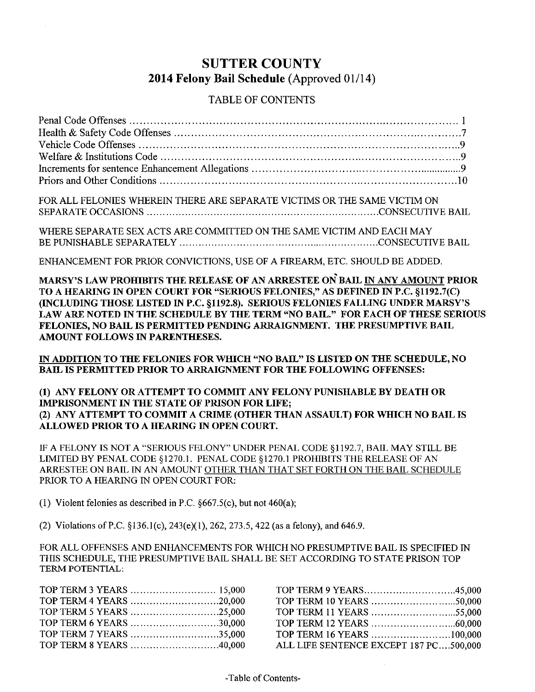### SUTTER COUNTY 2014 Felony Bail Schedule (Approved 01/14)

#### TABLE OF CONTENTS

| FOR ALL FELONIES WHEREIN THERE ARE SEPARATE VICTIMS OR THE SAME VICTIM ON                                                                                          |
|--------------------------------------------------------------------------------------------------------------------------------------------------------------------|
|                                                                                                                                                                    |
|                                                                                                                                                                    |
| WHERE SEPARATE SEX ACTS ARE COMMITTED ON THE SAME VICTIM AND EACH MAY                                                                                              |
|                                                                                                                                                                    |
| ENHANCEMENT FOR PRIOR CONVICTIONS, USE OF A FIREARM, ETC. SHOULD BE ADDED.                                                                                         |
| MARSY'S LAW PROHIBITS THE RELEASE OF AN ARRESTEE ON BAIL IN ANY AMOUNT PRIOR<br>TO A HEARING IN OPEN COURT FOR "SERIOUS FELONIES," AS DEFINED IN P.C. §1192.7(C)   |
| (INCLUDING THOSE LISTED IN P.C. §1192.8). SERIOUS FELONIES FALLING UNDER MARSY'S<br>LAW ARE NOTED IN THE SCHEDULE BY THE TERM "NO BAIL." FOR EACH OF THESE SERIOUS |
| FELONIES, NO BAIL IS PERMITTED PENDING ARRAIGNMENT. THE PRESUMPTIVE BAIL                                                                                           |
| AMOUNT FOLLOWS IN PARENTHESES.                                                                                                                                     |
|                                                                                                                                                                    |
| IN ADDITION TO THE FELONIES FOR WHICH "NO BAIL" IS LISTED ON THE SCHEDULE, NO                                                                                      |
| BAIL IS PERMITTED PRIOR TO ARRAIGNMENT FOR THE FOLLOWING OFFENSES:                                                                                                 |
|                                                                                                                                                                    |
| (1) ANY FELONY OR ATTEMPT TO COMMIT ANY FELONY PUNISHABLE BY DEATH OR                                                                                              |
|                                                                                                                                                                    |
| IMPRISONMENT IN THE STATE OF PRISON FOR LIFE;                                                                                                                      |
| (2) ANY ATTEMPT TO COMMIT A CRIME (OTHER THAN ASSAULT) FOR WHICH NO BAIL IS<br>ALLOWED PRIOR TO A HEARING IN OPEN COURT.                                           |

IF A FELONY IS NOT A "SERIOUS FELONY" UNDER PENAL CODE §1192.7, BAIL MAY STILL BE LIMITED BY PENAL CODE §1270.1. PENAL CODE §1270.1 PROHIBITS THE RELEASE OF AN ARRESTEE ON BAIL IN AN AMOUNT OTHER THAN THAT SET FORTH ON THE BAIL SCHEDULE PRIOR TO A HEARING IN OPEN COURT FOR:

(1) Violent felonies as described in P.C.  $§667.5(c)$ , but not 460(a);

(2) Violations of P.C. §136.1(c), 243(e)(1), 262, 273.5, 422 (as a felony), and 646.9.

FOR ALL OFFENSES AND ENHANCEMENTS FOR WHICH NO PRESUMPTIVE BAIL IS SPECIFIED IN THIS SCHEDULE, THE PRESUMPTIVE BAIL SHALL BE SET ACCORDING TO STATE PRISON TOP TERM POTENTIAL:

| TOP TERM 5 YEARS 25,000 |
|-------------------------|
| TOP TERM 6 YEARS 30,000 |
| TOP TERM 7 YEARS 35,000 |
| TOP TERM 8 YEARS 40,000 |
|                         |

| TOP TERM 9 YEARS45,000                 |  |
|----------------------------------------|--|
|                                        |  |
|                                        |  |
|                                        |  |
| TOP TERM 16 YEARS 100,000              |  |
| ALL LIFE SENTENCE EXCEPT 187 PC500,000 |  |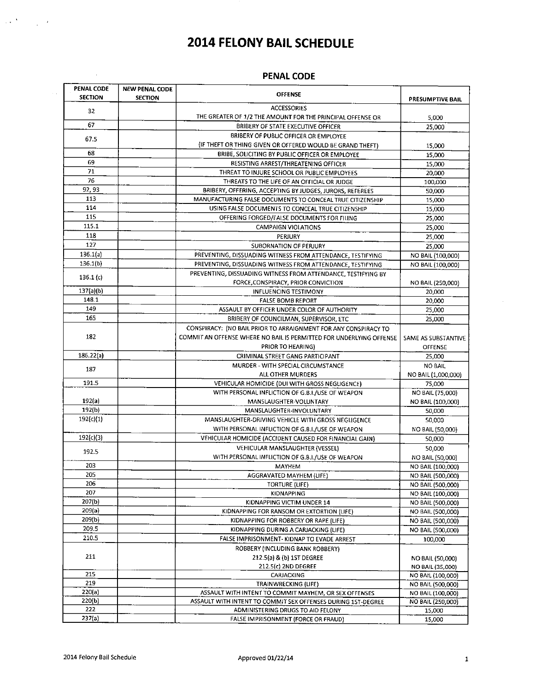#### **PENAL CODE**

| PENAL CODE<br><b>SECTION</b> | <b>NEW PENAL CODE</b><br><b>SECTION</b> | <b>FLITHL CUDE</b><br><b>OFFENSE</b>                                | <b>PRESUMPTIVE BAIL</b> |
|------------------------------|-----------------------------------------|---------------------------------------------------------------------|-------------------------|
| 32                           |                                         | <b>ACCESSORIES</b>                                                  |                         |
|                              |                                         | THE GREATER OF 1/2 THE AMOUNT FOR THE PRINCIPAL OFFENSE OR          | 5,000                   |
| 67                           |                                         | BRIBERY OF STATE EXECUTIVE OFFICER                                  | 25,000                  |
| 67.5                         |                                         | BRIBERY OF PUBLIC OFFICER OR EMPLOYEE                               |                         |
|                              |                                         | (IF THEFT OR THING GIVEN OR OFFERED WOULD BE GRAND THEFT)           | 15,000                  |
| 68                           |                                         | BRIBE, SOLICITING BY PUBLIC OFFICER OR EMPLOYEE                     | 15,000                  |
| 69                           |                                         | RESISTING ARREST/THREATENING OFFICER                                | 15,000                  |
| 71                           |                                         | THREAT TO INJURE SCHOOL OR PUBLIC EMPLOYEES                         | 20,000                  |
| 76                           |                                         | THREATS TO THE LIFE OF AN OFFICIAL OR JUDGE                         | 100,000                 |
| 92, 93                       |                                         | BRIBERY, OFFERING, ACCEPTING BY JUDGES, JURORS, REFEREES            | 50.000                  |
| 113                          |                                         | MANUFACTURING FALSE DOCUMENTS TO CONCEAL TRUE CITIZENSHIP           | 15,000                  |
| 114                          |                                         | USING FALSE DOCUMENTS TO CONCEAL TRUE CITIZENSHIP                   | 15,000                  |
| 115                          |                                         | OFFERING FORGED/FALSE DOCUMENTS FOR FILING                          | 25,000                  |
| 115.1                        |                                         | <b>CAMPAIGN VIOLATIONS</b>                                          | 25,000                  |
| 118                          |                                         | PERJURY                                                             | 25,000                  |
| 127                          |                                         | SUBORNATION OF PERJURY                                              | 25,000                  |
| 136.1(a)                     |                                         | PREVENTING, DISSUADING WITNESS FROM ATTENDANCE, TESTIFYING          | NO BAIL (100,000)       |
| 136.1(b)                     |                                         | PREVENTING, DISSUADING WITNESS FROM ATTENDANCE, TESTIFYING          | NO BAIL (100,000)       |
|                              |                                         | PREVENTING, DISSUADING WITNESS FROM ATTENDANCE, TESTIFYING BY       |                         |
| 136.1(c)                     |                                         | FORCE, CONSPIRACY, PRIOR CONVICTION                                 | NO BAIL (250,000)       |
| 137(a)(b)                    |                                         | <b>INFLUENCING TESTIMONY</b>                                        | 20,000                  |
| 148 1                        |                                         | <b>FALSE BOMB REPORT</b>                                            | 20,000                  |
| 149                          |                                         | ASSAULT BY OFFICER UNDER COLOR OF AUTHORITY                         | 25,000                  |
| 165                          |                                         | BRIBERY OF COUNCILMAN, SUPERVISOR, ETC                              | 25,000                  |
|                              |                                         | CONSPIRACY: (NO BAIL PRIOR TO ARRAIGNMENT FOR ANY CONSPIRACY TO     |                         |
| 182                          |                                         | COMMIT AN OFFENSE WHERE NO BAIL IS PERMITTED FOR UNDERLYING OFFENSE | SAME AS SUBSTANTIVE     |
|                              |                                         | PRIOR TO HEARING)                                                   | OFFENSE                 |
| 186.22(a)                    |                                         | CRIMINAL STREET GANG PARTICIPANT                                    | 25,000                  |
|                              |                                         | MURDER - WITH SPECIAL CIRCUMSTANCE                                  | <b>NO BAIL</b>          |
| 187                          |                                         | ALL OTHER MURDERS                                                   | NO BAIL (1,000,000)     |
| 191.5                        |                                         | VEHICULAR HOMICIDE (DUI WITH GROSS NEGLIGENCE)                      | 75,000                  |
|                              |                                         | WITH PERSONAL INFLICTION OF G.B.I./USE OF WEAPON                    | NO BAIL (75,000)        |
| 192(a)                       |                                         | MANSLAUGHTER-VOLUNTARY                                              | NO BAIL (100,000)       |
| 192(b)                       |                                         | MANSLAUGHTER-INVOLUNTARY                                            | 50.000                  |
| 192(c)(1)                    |                                         | MANSLAUGHTER-DRIVING VEHICLE WITH GROSS NEGLIGENCE                  | 50,000                  |
|                              |                                         | WITH PERSONAL INFLICTION OF G.B.I./USE OF WEAPON                    | NO BAIL (50,000)        |
| 192(c)(3)                    |                                         | VEHICULAR HOMICIDE (ACCIDENT CAUSED FOR FINANCIAL GAIN)             | 50,000                  |
|                              |                                         | VEHICULAR MANSLAUGHTER (VESSEL)                                     | 50.000                  |
| 192.5                        |                                         | WITH PERSONAL INFLICTION OF G.B.I./USE OF WEAPON                    | NO BAIL (50,000)        |
| 203                          |                                         | MAYHEM                                                              | NO BAIL (100,000)       |
| 205                          |                                         | AGGRAVATED MAYHEM (LIFE)                                            | NO BAIL (500,000)       |
| 206                          |                                         | <b>TORTURE (LIFE)</b>                                               | NO BAIL (500,000)       |
| 207                          |                                         | KIDNAPPING                                                          | NO BAIL (100,000)       |
| 207(b)                       |                                         | KIDNAPPING VICTIM UNDER 14                                          | NO BAIL (500,000)       |
| 209(a)                       |                                         | KIDNAPPING FOR RANSOM OR EXTORTION (LIFE)                           | NO BAIL (500,000)       |
| 209(b)                       |                                         | KIDNAPPING FOR ROBBERY OR RAPE (LIFE)                               | NO BAIL (500,000)       |
| 209.5                        |                                         | KIDNAPPING DURING A CARJACKING (LIFE)                               | NO BAIL (500,000)       |
| 210.5                        |                                         | FALSE IMPRISONMENT- KIDNAP TO EVADE ARREST                          | 100,000                 |
|                              |                                         | ROBBERY (INCLUDING BANK ROBBERY)                                    |                         |
| 211                          |                                         | 212.5(a) & (b) 1ST DEGREE                                           | NO BAIL (50,000)        |
|                              |                                         | 212.5(c) 2ND DEGREE                                                 | NO BAIL (35,000)        |
| 215                          |                                         | CARJACKING                                                          | NO BAIL (100,000)       |
| 219                          |                                         | <b>TRAINWRECKING (LIFE)</b>                                         | NO BAIL (500,000)       |
| 220(a)                       |                                         | ASSAULT WITH INTENT TO COMMIT MAYHEM, OR SEX OFFENSES               | NO BAIL (100,000)       |
| 220(b)                       |                                         | ASSAULT WITH INTENT TO COMMIT SEX OFFENSES DURING 1ST-DEGREE        | NO BAIL (250,000)       |
| 222                          |                                         | ADMINISTERING DRUGS TO AID FELONY                                   | 15,000                  |
| 237(a)                       |                                         | FALSE IMPRISONMENT (FORCE OR FRAUD)                                 | 15,000                  |

 $\label{eq:2} \frac{1}{2}\frac{1}{2}\sum_{i=1}^{N} \frac{1}{\left(1-\frac{1}{2}\right)^{2}}\sum_{i=1}^{N} \frac{1}{\left(1-\frac{1}{2}\right)^{2}}\left(\frac{1}{2}\right)^{2}$ 

 $\sim$   $\sim$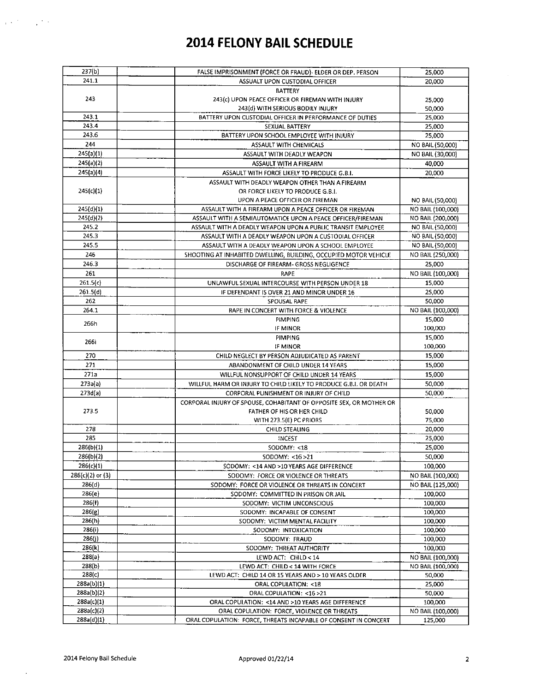| 237(b)             | FALSE IMPRISONMENT (FORCE OR FRAUD)- ELDER OR DEP. PERSON           | 25,000            |
|--------------------|---------------------------------------------------------------------|-------------------|
| 241.1              | ASSUALT UPON CUSTODIAL OFFICER                                      | 20,000            |
|                    | <b>BATTERY</b>                                                      |                   |
| 243                | 243(c) UPON PEACE OFFICER OR FIREMAN WITH INJURY                    | 25.000            |
|                    | 243(d) WITH SERIOUS BODILY INJURY                                   | 50,000            |
| 243.1              | BATTERY UPON CUSTODIAL OFFICER IN PERFORMANCE OF DUTIES             | 25,000            |
| 243.4              | SEXUAL BATTERY                                                      | 25,000            |
| 243.6              | BATTERY UPON SCHOOL EMPLOYEE WITH INJURY                            | 25,000            |
| 244                | ASSAULT WITH CHEMICALS                                              | NO BAIL (50,000)  |
| 245(a)(1)          |                                                                     |                   |
|                    | ASSAULT WITH DEADLY WEAPON                                          | NO BAIL (30,000)  |
| 245(a)(2)          | ASSAULT WITH A FIREARM                                              | 40,000            |
| 245(a)(4)          | ASSAULT WITH FORCE LIKELY TO PRODUCE G.B.I.                         | 20,000            |
|                    | ASSAULT WITH DEADLY WEAPON OTHER THAN A FIREARM                     |                   |
| 245(c)(1)          | OR FORCE LIKELY TO PRODUCE G.B.I.                                   |                   |
|                    | UPON A PEACE OFFICER OR FIREMAN                                     | NO BAIL (50,000)  |
| 245(d)(1)          | ASSAULT WITH A FIREARM UPON A PEACE OFFICER OR FIREMAN              | NO BAIL (100,000) |
| 245(d)(2)          | ASSAULT WITH A SEMIAUTOMATICE UPON A PEACE OFFICER/FIREMAN          | NO BAIL (200,000) |
| 245.2              | ASSAULT WITH A DEADLY WEAPON UPON A PUBLIC TRANSIT EMPLOYEE         | NO BAIL (50,000)  |
| 245.3              | ASSAULT WITH A DEADLY WEAPON UPON A CUSTODIAL OFFICER               | NO BAIL (50,000)  |
| 245.5              | ASSAULT WITH A DEADLY WEAPON UPON A SCHOOL EMPLOYEE                 | NO BAIL (50,000)  |
| 246                | SHOOTING AT INHABITED DWELLING, BUILDING, OCCUPIED MOTOR VEHICLE    | NO BAIL (250,000) |
| 246.3              | DISCHARGE OF FIREARM- GROSS NEGLIGENCE                              | 25,000            |
| 261                | RAPE                                                                | NO BAIL (100,000) |
|                    |                                                                     |                   |
| 261.5(c)           | UNLAWFUL SEXUAL INTERCOURSE WITH PERSON UNDER 18                    | 15,000            |
| 261.5(d)           | IF DEFENDANT IS OVER 21 AND MINOR UNDER 16                          | 25,000            |
| 262                | SPOUSAL RAPE                                                        | 50,000            |
| 264.1              | RAPE IN CONCERT WITH FORCE & VIOLENCE                               | NO BAIL (100,000) |
| 266h               | PIMPING                                                             | 15,000            |
|                    | IF MINOR                                                            | 100,000           |
|                    | <b>PIMPING</b>                                                      | 15,000            |
| 266i               | IF MINOR                                                            | 100,000           |
| 270                | CHILD NEGLECT BY PERSON ADJUDICATED AS PARENT                       | 15,000            |
| 271                | ABANDONMENT OF CHILD UNDER 14 YEARS                                 | 15,000            |
| 271a               | WILLFUL NONSUPPORT OF CHILD UNDER 14 YEARS                          | 15,000            |
| 273a(a)            | WILLFUL HARM OR INJURY TO CHILD LIKELY TO PRODUCE G.B.I. OR DEATH   | 50,000            |
| 273d(a)            | CORPORAL PUNISHMENT OR INJURY OF CHILD                              | 50,000            |
|                    |                                                                     |                   |
|                    | CORPORAL INJURY OF SPOUSE, COHABITANT OF OPPOSITE SEX, OR MOTHER OR |                   |
| 273.5              | FATHER OF HIS OR HER CHILD                                          | 50,000            |
|                    | WITH 273.5(E) PC PRIORS                                             | 75,000            |
| 278                | CHILD STEALING                                                      | 20,000            |
| 285                | INCEST                                                              | 25,000            |
| 286(b)(1)          | SODOMY: < 18                                                        | 25,000            |
| 286(b)(2)          | SODOMY <16>21                                                       | 50,000            |
| 286(c)(1)          | SODOMY: <14 AND >10 YEARS AGE DIFFERENCE                            | 100,000           |
| $286(c)(2)$ or (3) | SODOMY: FORCE OR VIOLENCE OR THREATS                                | NO BAIL (100,000) |
| 286(d)             | SODOMY: FORCE OR VIOLENCE OR THREATS IN CONCERT                     | NO BAIL (125,000) |
| 286(e)             | SODOMY: COMMITTED IN PRISON OR JAIL                                 | 100,000           |
| 286(f)             | SODOMY: VICTIM UNCONSCIOUS                                          | 100,000           |
| 286(g)             | SODOMY: INCAPABLE OF CONSENT                                        | 100,000           |
| 286(h)             | SODOMY: VICTIM MENTAL FACILITY                                      | 100.000           |
| 286(i)             | SODOMY: INTOXICATION                                                | 100,000           |
| 286(j)             | SODOMY: FRAUD                                                       | 100,000           |
| 286(k)             | SODOMY: THREAT AUTHORITY                                            | 100,000           |
| 288(a)             |                                                                     |                   |
|                    | LEWD ACT: CHILD < 14                                                | NO BAIL (100,000) |
| 288(b)             | LEWD ACT: CHILD < 14 WITH FORCE                                     | NO BAIL (100,000) |
| 288(c)             | LEWD ACT: CHILD 14 OR 15 YEARS AND > 10 YEARS OLDER                 | 50,000            |
| 288a(b)(1)         | ORAL COPULATION: < 18                                               | 25,000            |
| 288a(b)(2)         | ORAL COPULATION: < 16 > 21                                          | 50,000            |
| 288a(c)(1)         | ORAL COPULATION: <14 AND >10 YEARS AGE DIFFERENCE                   | 100,000           |
| 288a(c)(2)         | ORAL COPULATION: FORCE, VIOLENCE OR THREATS                         | NO BAIL (100,000) |
| 288a(d)(1)         | ORAL COPULATION: FORCE, THREATS INCAPABLE OF CONSENT IN CONCERT     | 125,000           |

 $\ddot{\phantom{a}}$ 

 $\chi$  is the set of  $\chi$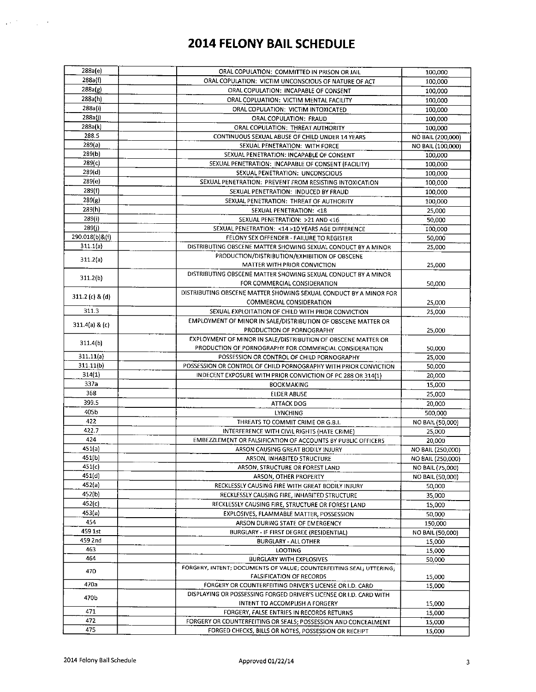| 288a(e)           | ORAL COPULATION: COMMITTED IN PRISON OR JAIL                        | 100,000           |
|-------------------|---------------------------------------------------------------------|-------------------|
| 288a(f)           | ORAL COPULATION: VICTIM UNCONSCIOUS OF NATURE OF ACT                | 100,000           |
| 288a(g)           | ORAL COPULATION: INCAPABLE OF CONSENT                               | 100,000           |
| 288a(h)           | ORAL COPLUATION: VICTIM MENTAL FACILITY                             | 100,000           |
| 288a(i)           | ORAL COPULATION: VICTIM INTOXICATED                                 | 100,000           |
| 288a(j)           | ORAL COPULATION: FRAUD                                              | 100,000           |
| 288a(k)           | ORAL COPULATION: THREAT AUTHORITY                                   | 100,000           |
| 288.5             | CONTINUOUS SEXUAL ABUSE OF CHILD UNDER 14 YEARS                     | NO BAIL (200,000) |
| 289(a)            | SEXUAL PENETRATION: WITH FORCE                                      | NO BAIL (100,000) |
| 289(b)            | SEXUAL PENETRATION: INCAPABLE OF CONSENT                            | 100,000           |
| 289(c)            | SEXUAL PENETRATION: INCAPABLE OF CONSENT (FACILITY)                 | 100,000           |
| 289(d)            | SEXUAL PENETRATION: UNCONSCIOUS                                     | 100,000           |
| 289(e)            | SEXUAL PENETRATION: PREVENT FROM RESISTING INTOXICATION             | 100,000           |
| 289(f)            | SEXUAL PENETRATION: INDUCED BY FRAUD                                | 100,000           |
| 289(g)            | SEXUAL PENETRATION: THREAT OF AUTHORITY                             | 100,000           |
| 289(h)            | SEXUAL PENETRATION: < 18                                            | 25,000            |
| 289(i)            | SEXUAL PENETRATION: >21 AND <16                                     | 50,000            |
| 289(i)            | SEXUAL PENETRATION: < 14 > 10 YEARS AGE DIFFERENCE                  | 100,000           |
| 290.018(b)&(f)    | FELONY SEX OFFENDER - FAILURE TO REGISTER                           | 50,000            |
| 311.1(a)          | DISTRIBUTING OBSCENE MATTER SHOWING SEXUAL CONDUCT BY A MINOR       | 25,000            |
|                   | PRODUCTION/DISTRIBUTION/EXHIBITION OF OBSCENE                       |                   |
| 311.2(a)          | MATTER WITH PRIOR CONVICTION                                        | 25,000            |
|                   | DISTRIBUTING OBSCENE MATTER SHOWING SEXUAL CONDUCT BY A MINOR       |                   |
| 311.2(b)          | FOR COMMERCIAL CONSIDERATION                                        | 50,000            |
|                   | DISTRIBUTING OBSCENE MATTER SHOWING SEXUAL CONDUCT BY A MINOR FOR   |                   |
| $311.2$ (c) & (d) | COMMERCIAL CONSIDERATION                                            | 25,000            |
| 311.3             | SEXUAL EXPLOITATION OF CHILD WITH PRIOR CONVICTION                  | 25,000            |
|                   | EMPLOYMENT OF MINOR IN SALE/DISTRIBUTION OF OBSCENE MATTER OR       |                   |
| 311.4(a) & (c)    | PRODUCTION OF PORNOGRAPHY                                           |                   |
|                   | EXPLOYMENT OF MINOR IN SALE/DISTRIBUTION OF OBSCENE MATTER OR       | 25,000            |
| 311.4(b)          | PRODUCTION OF PORNOGRAPHY FOR COMMERCIAL CONSIDERATION              | 50,000            |
| 311.11(a)         | POSSESSION OR CONTROL OF CHILD PORNOGRAPHY                          | 25,000            |
| 311.11(b)         | POSSESSION OR CONTROL OF CHILD PORNOGRAPHY WITH PRIOR CONVICTION    | 50,000            |
| 314(1)            | INDECENT EXPOSURE WITH PRIOR CONVICTION OF PC 288 OR 314(1)         | 20,000            |
| 337a              | <b>BOOKMAKING</b>                                                   | 15,000            |
| 368               | ELDER ABUSE                                                         | 25,000            |
| 399.5             | <b>ATTACK DOG</b>                                                   | 20,000            |
| 405b              | <b>LYNCHING</b>                                                     | 500,000           |
| 422               | THREATS TO COMMIT CRIME OR G.B.I.                                   | NO BAIL (50,000)  |
| 422.7             | INTERFERENCE WITH CIVIL RIGHTS (HATE CRIME)                         | 25,000            |
| 424               | EMBEZZLEMENT OR FALSIFICATION OF ACCOUNTS BY PUBLIC OFFICERS        | 20,000            |
| 451(a)            | ARSON CAUSING GREAT BODILY INJURY                                   | NO BAIL (250,000) |
| 451(b)            | ARSON, INHABITED STRUCTURE                                          | NO BAIL (250,000) |
| 451(c)            | ARSON, STRUCTURE OR FOREST LAND                                     | NO BAIL (75,000)  |
| 451(d)            | ARSON, OTHER PROPERTY                                               | NO BAIL (50,000)  |
| 452(a)            | RECKLESSLY CAUSING FIRE WITH GREAT BODILY INJURY                    | 50,000            |
| 452(b)            | RECKLESSLY CAUSING FIRE, INHABITED STRUCTURE                        | 35,000            |
| 452(c)            | RECKLESSLY CAUSING FIRE, STRUCTURE OR FOREST LAND                   | 15,000            |
| 453(a)            | EXPLOSIVES, FLAMMABLE MATTER, POSSESSION                            | 50,000            |
| 454               | ARSON DURING STATE OF EMERGENCY                                     | 150,000           |
| 459 1 st          | BURGLARY - IF FIRST DEGREE (RESIDENTIAL)                            | NO BAIL (50,000)  |
| 459 2nd           | <b>BURGLARY - ALL OTHER</b>                                         | 15,000            |
| 463               | <b>LOOTING</b>                                                      | 15,000            |
| 464               | BURGLARY WITH EXPLOSIVES                                            | 50,000            |
|                   | FORGERY, INTENT; DOCUMENTS OF VALUE; COUNTERFEITING SEAL; UTTERING; |                   |
| 470               | <b>FALSIFICATION OF RECORDS</b>                                     | 15,000            |
| 470a              | FORGERY OR COUNTERFEITING DRIVER'S LICENSE OR I.D. CARD             | 15,000            |
|                   | DISPLAYING OR POSSESSING FORGED DRIVER'S LICENSE OR I.D. CARD WITH  |                   |
| 470b              | INTENT TO ACCOMPLISH A FORGERY                                      | 15,000            |
| 471               | FORGERY, FALSE ENTRIES IN RECORDS RETURNS                           | 15,000            |
| 472               | FORGERY OR COUNTERFEITING OR SEALS; POSSESSION AND CONCEALMENT      | 15,000            |
| 475               | FORGED CHECKS, BILLS OR NOTES, POSSESSION OR RECEIPT                | 15,000            |

 $\Delta\phi^2$  , where  $\Delta\phi$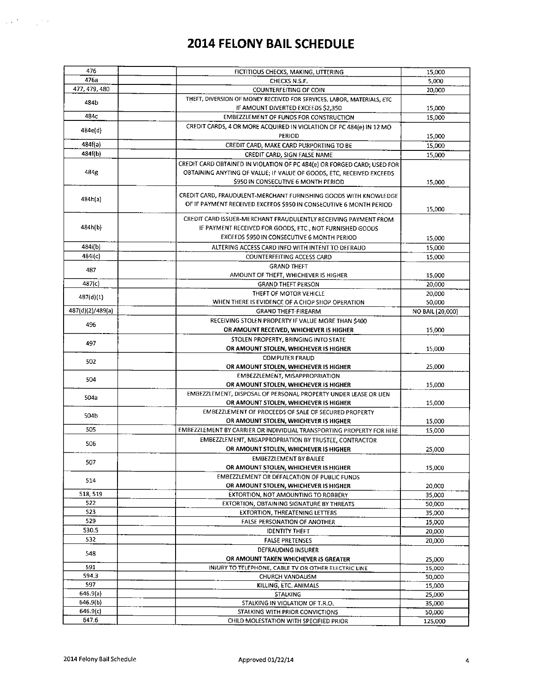| 476              | FICTITIOUS CHECKS, MAKING, UTTERING                                     | 15,000           |
|------------------|-------------------------------------------------------------------------|------------------|
| 476a             | CHECKS N.S.F.                                                           | 5,000            |
| 477, 479, 480    | <b>COUNTERFEITING OF COIN</b>                                           | 20,000           |
| 484b             | THEFT, DIVERSION OF MONEY RECEIVED FOR SERVICES, LABOR, MATERIALS, ETC  |                  |
|                  | IF AMOUNT DIVERTED EXCEEDS \$2,350                                      | 15,000           |
| 484c             | <b>EMBEZZLEMENT OF FUNDS FOR CONSTRUCTION</b>                           | 15,000           |
| 484e(d)          | CREDIT CARDS, 4 OR MORE ACQUIRED IN VIOLATION OF PC 484(e) IN 12 MO     |                  |
|                  | <b>PERIOD</b>                                                           | 15,000           |
| 484f(a)          | CREDIT CARD, MAKE CARD PURPORTING TO BE                                 | 15,000           |
| 484f(b)          | CREDIT CARD, SIGN FALSE NAME                                            | 15,000           |
|                  | CREDIT CARD OBTAINED IN VIOLATION OF PC 484(e) OR FORGED CARD; USED FOR |                  |
| 484g             | OBTAINING ANYTING OF VALUE; IF VALUE OF GOODS, ETC, RECEIVED EXCEEDS    |                  |
|                  | \$950 IN CONSECUTIVE 6 MONTH PERIOD                                     | 15,000           |
|                  |                                                                         |                  |
| 484h(a)          | CREDIT CARD, FRAUDULENT-MERCHANT FURNISHING GOODS WITH KNOWLEDGE        |                  |
|                  | OF IF PAYMENT RECEIVED EXCEEDS \$950 IN CONSECUTIVE 6 MONTH PERIOD      | 15,000           |
|                  | CREDIT CARD ISSUER-MERCHANT FRAUDULENTLY RECEIVING PAYMENT FROM         |                  |
| 484h(b)          | IF PAYMENT RECEIVED FOR GOODS, ETC., NOT FURNISHED GOODS                |                  |
|                  | EXCEEDS \$950 IN CONSECUTIVE 6 MONTH PERIOD                             | 15,000           |
| 484i(b)          | ALTERING ACCESS CARD INFO WITH INTENT TO DEFRAUD                        | 15,000           |
| 484i(c)          | COUNTERFEITING ACCESS CARD                                              | 15,000           |
|                  |                                                                         |                  |
| 487              | <b>GRAND THEFT</b><br>AMOUNT OF THEFT, WHICHEVER IS HIGHER              |                  |
| 487(c)           |                                                                         | 15,000           |
|                  | <b>GRAND THEFT PERSON</b>                                               | 20,000           |
| 487(d)(1)        | THEFT OF MOTOR VEHICLE                                                  | 20,000           |
|                  | WHEN THERE IS EVIDENCE OF A CHOP SHOP OPERATION                         | 50,000           |
| 487(d)(2)/489(a) | <b>GRAND THEFT-FIREARM</b>                                              | NO BAIL (20,000) |
| 496              | RECEIVING STOLEN PROPERTY IF VALUE MORE THAN \$400                      |                  |
|                  | OR AMOUNT RECEIVED, WHICHEVER IS HIGHER                                 | 15,000           |
| 497              | STOLEN PROPERTY, BRINGING INTO STATE                                    |                  |
|                  | OR AMOUNT STOLEN, WHICHEVER IS HIGHER                                   | 15,000           |
| 502              | <b>COMPUTER FRAUD</b>                                                   |                  |
|                  | OR AMOUNT STOLEN, WHICHEVER IS HIGHER                                   | 25,000           |
| 504              | EMBEZZLEMENT, MISAPPROPRIATION                                          |                  |
|                  | OR AMOUNT STOLEN, WHICHEVER IS HIGHER                                   | 15,000           |
| 504a             | EMBEZZLEMENT, DISPOSAL OF PERSONAL PROPERTY UNDER LEASE OR LIEN         |                  |
|                  | OR AMOUNT STOLEN, WHICHEVER IS HIGHER                                   | 15,000           |
| 504b             | <b>EMBEZZLEMENT OF PROCEEDS OF SALE OF SECURED PROPERTY</b>             |                  |
|                  | OR AMOUNT STOLEN, WHICHEVER IS HIGHER                                   | 15,000           |
| 505              | EMBEZZLEMENT BY CARRIER OR INDIVIDUAL TRANSPORTING PROPERTY FOR HIRE    | 15,000           |
| 506              | EMBEZZLEMENT, MISAPPROPRIATION BY TRUSTEE, CONTRACTOR                   |                  |
|                  | OR AMOUNT STOLEN, WHICHEVER IS HIGHER                                   | 25,000           |
| 507              | <b>EMBEZZLEMENT BY BAILEE</b>                                           |                  |
|                  | OR AMOUNT STOLEN, WHICHEVER IS HIGHER                                   | 15,000           |
|                  | <b>EMBEZZLEMENT OR DEFALCATION OF PUBLIC FUNDS</b>                      |                  |
| 514              | OR AMOUNT STOLEN, WHICHEVER IS HIGHER                                   | 20,000           |
| 518, 519         | EXTORTION, NOT AMOUNTING TO ROBBERY                                     | 35,000           |
| 522              | EXTORTION, OBTAINING SIGNATURE BY THREATS                               | 50,000           |
| 523              | <b>EXTORTION, THREATENING LETTERS</b>                                   | 35,000           |
| 529              | FALSE PERSONATION OF ANOTHER                                            | 15,000           |
| 530.5            | <b>IDENTITY THEFT</b>                                                   | 20,000           |
| 532              | <b>FALSE PRETENSES</b>                                                  | 20,000           |
|                  | <b>DEFRAUDING INSURER</b>                                               |                  |
| 548              | OR AMOUNT TAKEN WHICHEVER IS GREATER                                    | 25,000           |
| 591              | INJURY TO TELEPHONE, CABLE TV OR OTHER ELECTRIC LINE                    |                  |
| 594.3            | <b>CHURCH VANDALISM</b>                                                 | 15,000<br>50,000 |
| 597              | KILLING, ETC. ANIMALS                                                   | 15,000           |
| 646.9(a)         | <b>STALKING</b>                                                         |                  |
| 646.9(b)         | STALKING IN VIOLATION OF T.R.O.                                         | 25,000           |
| 646.9(c)         |                                                                         | 35,000           |
| 647.6            | STALKING WITH PRIOR CONVICTIONS                                         | 50,000           |
|                  | CHILD MOLESTATION WITH SPECIFIED PRIOR                                  | 125,000          |

 $\Delta \propto \Delta \omega_{\rm{max}}$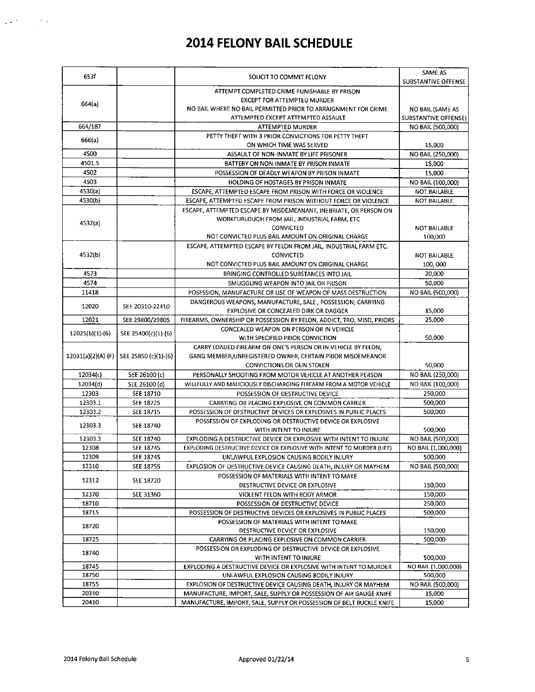| 653f            |                                           | SOLICIT TO COMMIT FELONY                                               | SAME AS<br><b>SUBSTANTIVE OFFENSE</b> |
|-----------------|-------------------------------------------|------------------------------------------------------------------------|---------------------------------------|
|                 |                                           | ATTEMPT COMPLETED CRIME PUNISHABLE BY PRISON                           |                                       |
| 664(a)          |                                           | <b>EXCEPT FOR ATTEMPTED MURDER</b>                                     |                                       |
|                 |                                           | NO BAIL WHERE NO BAIL PERMITTED PRIOR TO ARRAIGNMENT FOR CRIME         | NO BAIL (SAME AS                      |
|                 |                                           | ATTEMPTED EXCEPT ATTEMPTED ASSAULT                                     | <b>SUBSTANTIVE OFFENSE)</b>           |
| 664/187         |                                           | <b>ATTEMPTED MURDER</b>                                                | NO BAIL (500,000)                     |
| 666(a)          |                                           | PETTY THEFT WITH 3 PRIOR CONVICTIONS FOR PETTY THEFT                   |                                       |
| 4500            |                                           | ON WHICH TIME WAS SERVED                                               | 15,000                                |
| 4501.5          |                                           | ASSAULT OF NON-INMATE BY LIFE PRISONER                                 | NO BAIL (250,000)                     |
| 4502            |                                           | BATTERY ON NON-INMATE BY PRISON INMATE                                 | 15,000                                |
| 4503            |                                           | POSSESSION OF DEADLY WEAPON BY PRISON INMATE                           | 15,000                                |
| 4530(a)         |                                           | HOLDING OF HOSTAGES BY PRISON INMATE                                   | NO BAIL (100,000)                     |
|                 |                                           | ESCAPE, ATTEMPTED ESCAPE FROM PRISON WITH FORCE OR VIOLENCE            | NOT BAILABLE                          |
| 4530(b)         |                                           | ESCAPE, ATTEMPTED ESCAPE FROM PRISON WITHOUT FORCE OR VIOLENCE         | <b>NOT BAILABLE</b>                   |
|                 |                                           | ESCAPE, ATTEMPTED ESCAPE BY MISDEMEANANT, INEBRIATE, OR PERSON ON      |                                       |
| 4532(a)         |                                           | WORKFURLOUGH FROM JAIL, INDUSTRIAL FARM, ETC                           |                                       |
|                 |                                           | CONVICTED<br>NOT CONVICTED PLUS BAIL AMOUNT ON ORIGINAL CHARGE         | <b>NOT BAILABLE</b>                   |
|                 |                                           |                                                                        | 100,000                               |
|                 |                                           | ESCAPE, ATTEMPTED ESCAPE BY FELON FROM JAIL, INDUSTRIAL FARM ETC.      |                                       |
| 4532(b)         |                                           | <b>CONVICTED</b>                                                       | <b>NOT BAILABLE</b>                   |
|                 |                                           | NOT CONVICTED PLUS BAIL AMOUNT ON ORIGINAL CHARGE                      | 100,000                               |
| 4573            |                                           | BRINGING CONTROLLED SUBSTANCES INTO JAIL                               | 20,000                                |
| 4574            |                                           | SMUGGLING WEAPON INTO JAIL OR PRISON                                   | 50,000                                |
| 11418           |                                           | POSESSION, MANUFACTURE OR USE OF WEAPON OF MASS DESTRUCTION            | NO BAIL (500,000)                     |
| 12020           | SEE 20310-22410                           | DANGEROUS WEAPONS, MANUFACTURE, SALE, POSSESSION; CARRYING             |                                       |
|                 |                                           | EXPLOSIVE OR CONCEALED DIRK OR DAGGER                                  | 15,000                                |
| 12021           | SEE 29800/29805                           | FIREARMS, OWNERSHIP OR POSSESSION BY FELON, ADDICT, TRO, MISD, PRIORS  | 25,000                                |
| 12025(b)(1)-(6) | SEE 25400(c)(1)-(6)                       | CONCEALED WEAPON ON PERSON OR IN VEHICLE                               |                                       |
|                 |                                           | WITH SPECIFIED PRIOR CONVICTION                                        | 50,000                                |
|                 |                                           | CARRY LOADED FIREARM ON ONE'S PERSON OR IN VEHICLE BY FELON.           |                                       |
|                 | 12031(a)(2)(A)-(F)   SEE 25850 (c)(1)-(6) | GANG MEMBER UNREGISTERED OWNER, CERTAIN PRIOR MISDEMEANOR              |                                       |
|                 |                                           | CONVICTIONS OR GUN STOLEN                                              | 50,000                                |
| 12034(c)        | SEE 26100 (c)                             | PERSONALLY SHOOTING FROM MOTOR VEHICLE AT ANOTHER PERSON               | NO BAIL (250,000)                     |
| 12034(d)        | SEE 26100 (d)                             | WILLFULLY AND MALICIOUSLY DISCHARGING FIREARM FROM A MOTOR VEHICLE     | NO BAIL (100,000)                     |
| 12303           | SEE 18710                                 | POSSESSION OF DESTRUCTIVE DEVICE                                       | 250,000                               |
| 12303.1         | SEE 18725                                 | CARRYING OR PLACING EXPLOSIVE ON COMMON CARRIER                        | 500,000                               |
| 12303.2         | SEE 18715                                 | POSSESSION OF DESTRUCTIVE DEVICES OR EXPLOSIVES IN PUBLIC PLACES       | 500,000                               |
| 12303.3         | SEE 18740                                 | POSSESSION OF EXPLODING OR DESTRUCTIVE DEVICE OR EXPLOSIVE             |                                       |
|                 |                                           | WITH INTENT TO INJURE                                                  | 500,000                               |
| 12303.3         | SEE 18740                                 | EXPLODING A DESTRUCTIVE DEVICE OR EXPLOSIVE WITH INTENT TO INJURE      | NO BAIL (500,000)                     |
| 12308           | SEE 18745                                 | EXPLODING DESTRUCTIVE DEVICE OR EXPLOSIVE WITH INTENT TO MURDER (LIFE) | NO BAIL (1,000,000)                   |
| 12309           | SEE 18745                                 | UNLAWFUL EXPLOSION CAUSING BODILY INJURY                               | 500,000                               |
| 12310           | SEE 18755                                 | EXPLOSION OF DESTRUCTIVE DEVICE CAUSING DEATH, INJURY OR MAYHEM        | NO BAIL (500,000)                     |
| 12312           | SEE 18720                                 | POSSESSION OF MATERIALS WITH INTENT TO MAKE                            |                                       |
|                 |                                           | DESTRUCTIVE DEVICE OR EXPLOSIVE                                        | 150,000                               |
| 12370           | SEE 31360                                 | VIOLENT FELON WITH BODY ARMOR                                          | 150,000                               |
| 18710           |                                           | POSSESSION OF DESTRUCTIVE DEVICE                                       | 250,000                               |
| 18715           |                                           | POSSESSION OF DESTRUCTIVE DEVICES OR EXPLOSIVES IN PUBLIC PLACES       | 500,000                               |
| 18720           |                                           | POSSESSION OF MATERIALS WITH INTENT TO MAKE                            |                                       |
|                 |                                           | DESTRUCTIVE DEVICE OR EXPLOSIVE                                        | 150,000                               |
| 18725           |                                           | CARRYING OR PLACING EXPLOSIVE ON COMMON CARRIER                        | 500,000                               |
| 18740           |                                           | POSSESSION OR EXPLODING OF DESTRUCTIVE DEVICE OR EXPLOSIVE             |                                       |
|                 |                                           | WITH INTENT TO INJURE                                                  | 500,000                               |
| 18745           |                                           | EXPLODING A DESTRUCTIVE DEVICE OR EXPLOSIVE WITH INTENT TO MURDER      | NO BAIL (1,000,000)                   |
| 18750           |                                           | UNLAWFUL EXPLOSION CAUSING BODILY INJURY                               | 500,000                               |
| 18755           |                                           | EXPLOSION OF DESTRUCTIVE DEVICE CAUSING DEATH, INJURY OR MAYHEM        | NO BAIL (500,000)                     |
| 20310           |                                           | MANUFACTURE, IMPORT, SALE, SUPPLY OR POSSESSION OF AIR GAUGE KNIFE     | 15,000                                |
| 20410           |                                           | MANUFACTURE, IMPORT, SALE, SUPPLY OR POSSESSION OF BELT BUCKLE KNIFE   | 15,000                                |

 $\Delta\sim 10^{11}$  m  $^{-1}$  M  $_{\odot}$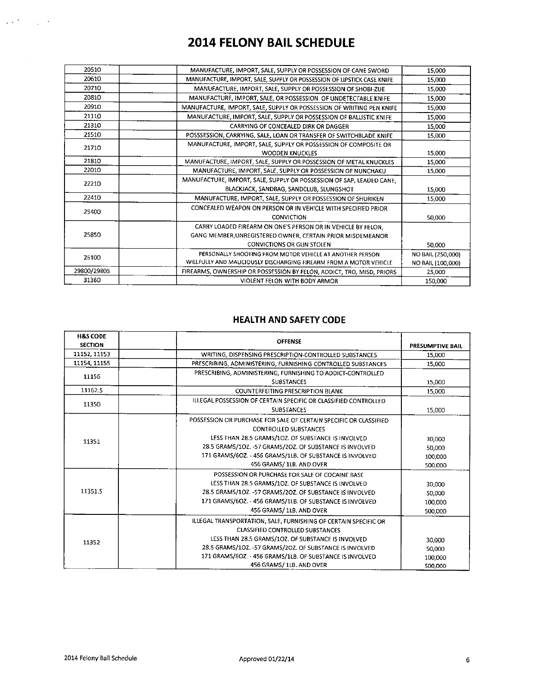| 20510       | MANUFACTURE, IMPORT, SALE, SUPPLY OR POSSESSION OF CANE SWORD          | 15,000            |
|-------------|------------------------------------------------------------------------|-------------------|
| 20610       | MANUFACTURE, IMPORT, SALE, SUPPLY OR POSSESSION OF LIPSTICK CASE KNIFE | 15,000            |
| 20710       | MANUFACTURE, IMPORT, SALE, SUPPLY OR POSSESSION OF SHOBI-ZUE           | 15,000            |
| 20810       | MANUFACTURE, IMPORT, SALE, OR POSSESSION OF UNDETECTABLE KNIFE         | 15,000            |
| 20910       | MANUFACTURE, IMPORT, SALE, SUPPLY OR POSSESSION OF WRITING PEN KNIFE   | 15,000            |
| 21110       | MANUFACTURE, IMPORT, SALE, SUPPLY OR POSSESSION OF BALLISTIC KNIFE     | 15,000            |
| 21310       | CARRYING OF CONCEALED DIRK OR DAGGER                                   | 15,000            |
| 21510       | POSSSESSION, CARRYING, SALE, LOAN OR TRANSFER OF SWITCHBLADE KNIFE     | 15,000            |
| 21710       | MANUFACTURE, IMPORT, SALE, SUPPLY OR POSSESSION OF COMPOSITE OR        |                   |
|             | <b>WOODEN KNUCKLES</b>                                                 | 15,000            |
| 21810       | MANUFACTURE, IMPORT, SALE, SUPPLY OR POSSESSION OF METAL KNUCKLES      | 15,000            |
| 22010       | MANUFACTURE, IMPORT, SALE, SUPPLY OR POSSESSION OF NUNCHAKU            | 15,000            |
| 22210       | MANUFACTURE, IMPORT, SALE, SUPPLY OR POSSESSION OF SAP, LEADED CANE.   |                   |
|             | BLACKJACK, SANDBAG, SANDCLUB, SLUNGSHOT                                | 15,000            |
| 22410       | MANUFACTURE, IMPORT, SALE, SUPPLY OR POSSESSION OF SHURIKEN            | 15,000            |
| 25400       | CONCEALED WEAPON ON PERSON OR IN VEHICLE WITH SPECIFIED PRIOR          |                   |
|             | <b>CONVICTION</b>                                                      | 50,000            |
|             | CARRY LOADED FIREARM ON ONE'S PERSON OR IN VEHICLE BY FELON,           |                   |
| 25850       | GANG MEMBER, UNREGISTERED OWNER, CERTAIN PRIOR MISDEMEANOR             |                   |
|             | <b>CONVICTIONS OR GUN STOLEN</b>                                       | 50,000            |
| 26100       | PERSONALLY SHOOTING FROM MOTOR VEHICLE AT ANOTHER PERSON               | NO BAIL (250,000) |
|             | WILLFULLY AND MALICIOUSLY DISCHARGING FIREARM FROM A MOTOR VEHICLE     | NO BAIL (100,000) |
| 29800/29805 | FIREARMS, OWNERSHIP OR POSSESSION BY FELON, ADDICT, TRO, MISD, PRIORS  | 25,000            |
| 31360       | VIOLENT FELON WITH BODY ARMOR                                          | 150,000           |
|             |                                                                        |                   |

#### **HEALTH AND SAFETY CODE**

| <b>H&amp;S CODE</b><br><b>SECTION</b> | <b>OFFENSE</b>                                                                                                                                                                                                                                                                                                       | <b>PRESUMPTIVE BAIL</b>                |
|---------------------------------------|----------------------------------------------------------------------------------------------------------------------------------------------------------------------------------------------------------------------------------------------------------------------------------------------------------------------|----------------------------------------|
| 11152, 11153                          | WRITING, DISPENSING PRESCRIPTION-CONTROLLED SUBSTANCES                                                                                                                                                                                                                                                               | 15,000                                 |
| 11154, 11155                          | PRESCRIBING, ADMINISTERING, FURNISHING-CONTROLLED SUBSTANCES                                                                                                                                                                                                                                                         | 15,000                                 |
| 11156                                 | PRESCRIBING, ADMINISTERING, FURNISHING TO ADDICT-CONTROLLED<br><b>SUBSTANCES</b>                                                                                                                                                                                                                                     | 15,000                                 |
| 11162.5                               | <b>COUNTERFEITING PRESCRIPTION BLANK</b>                                                                                                                                                                                                                                                                             | 15,000                                 |
| 11350                                 | ILLEGAL POSSESSION OF CERTAIN SPECIFIC OR CLASSIFIED CONTROLLED<br><b>SUBSTANCES</b>                                                                                                                                                                                                                                 | 15,000                                 |
| 11351                                 | POSSESSION OR PURCHASE FOR SALE OF CERTAIN SPECIFIC OR CLASSIFIED<br><b>CONTROLLED SUBSTANCES</b><br>LESS THAN 28.5 GRAMS/10Z. OF SUBSTANCE IS INVOLVED<br>28.5 GRAMS/102. - 57 GRAMS/202. OF SUBSTANCE IS INVOLVED<br>171 GRAMS/6OZ. - 456 GRAMS/1LB. OF SUBSTANCE IS INVOLVED<br>456 GRAMS/ 1LB. AND OVER          | 30.000<br>50,000<br>100,000<br>500,000 |
| 11351.5                               | POSSESSION OR PURCHASE FOR SALE OF COCAINE BASE<br>LESS THAN 28.5 GRAMS/10Z. OF SUBSTANCE IS INVOLVED<br>28.5 GRAMS/102. - 57 GRAMS/20Z. OF SUBSTANCE IS INVOLVED<br>171 GRAMS/6OZ. - 456 GRAMS/1LB. OF SUBSTANCE IS INVOLVED<br>456 GRAMS/ 1LB. AND OVER                                                            | 30,000<br>50,000<br>100,000<br>500,000 |
| 11352                                 | ILLEGAL TRANSPORTATION, SALE, FURNISHING OF CERTAIN SPECIFIC OR<br><b>CLASSIFIED CONTROLLED SUBSTANCES</b><br>LESS THAN 28.5 GRAMS/1OZ. OF SUBSTANCE IS INVOLVED<br>28.5 GRAMS/10Z. - 57 GRAMS/20Z. OF SUBSTANCE IS INVOLVED<br>171 GRAMS/6OZ. - 456 GRAMS/1LB. OF SUBSTANCE IS INVOLVED<br>456 GRAMS/ 1LB, AND OVER | 30,000<br>50,000<br>100,000<br>500,000 |

 $\mathcal{L} \in \mathbb{R}^{N \times N}$  , where  $\mathcal{L} \in \mathbb{R}^{N}$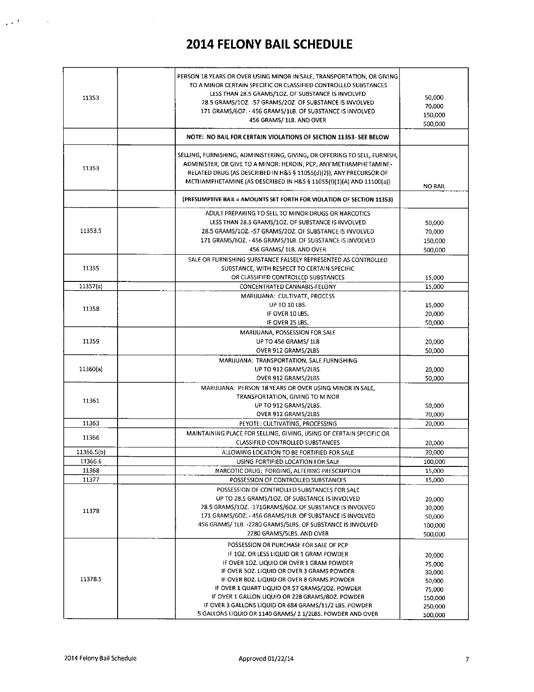$\bar{z}$ 

 $\Delta \sigma^2$ 

 $\bar{z}$ 

| 11353      | PERSON 18 YEARS OR OVER USING MINOR IN SALE, TRANSPORTATION, OR GIVING<br>TO A MINOR CERTAIN SPECIFIC OR CLASSIFIED CONTROLLED SUBSTANCES<br>LESS THAN 28.5 GRAMS/10Z. OF SUBSTANCE IS INVOLVED<br>28.5 GRAMS/1OZ. -57 GRAMS/2OZ. OF SUBSTANCE IS INVOLVED<br>171 GRAMS/6OZ. - 456 GRAMS/1LB. OF SUBSTANCE IS INVOLVED<br>456 GRAMS/ 1LB. AND OVER                                                                                                      | 50,000<br>70,000<br>150,000<br>500,000                                          |
|------------|---------------------------------------------------------------------------------------------------------------------------------------------------------------------------------------------------------------------------------------------------------------------------------------------------------------------------------------------------------------------------------------------------------------------------------------------------------|---------------------------------------------------------------------------------|
|            | NOTE: NO BAIL FOR CERTAIN VIOLATIONS OF SECTION 11353-SEE BELOW                                                                                                                                                                                                                                                                                                                                                                                         |                                                                                 |
| 11353      | SELLING, FURNISHING, ADMINISTERING, GIVING, OR OFFERING TO SELL, FURNISH,<br>ADMINISTER, OR GIVE TO A MINOR: HEROIN, PCP, ANY METHAMPHETAMINE-<br>RELATED DRUG (AS DESCRIBED IN H&S § 11055(d)(2)), ANY PRECURSOR OF<br>METHAMPHETAMINE (AS DESCRIBED IN H&S § 11055(f)(1)(A) AND 11100(a))                                                                                                                                                             | NO BAIL                                                                         |
|            | (PRESUMPTIVE BAIL = AMOUNTS SET FORTH FOR VIOLATION OF SECTION 11353)                                                                                                                                                                                                                                                                                                                                                                                   |                                                                                 |
| 11353.5    | ADULT PREPARING TO SELL TO MINOR DRUGS OR NARCOTICS<br>LESS THAN 28.5 GRAMS/10Z. OF SUBSTANCE IS INVOLVED<br>28.5 GRAMS/1OZ. -57 GRAMS/2OZ. OF SUBSTANCE IS INVOLVED<br>171 GRAMS/6OZ. - 456 GRAMS/1LB. OF SUBSTANCE IS INVOLVED<br>456 GRAMS/ 1LB. AND OVER                                                                                                                                                                                            | 50,000<br>70,000<br>150,000<br>500,000                                          |
| 11355      | SALE OR FURNISHING SUBSTANCE FALSELY REPRESENTED AS CONTROLLED<br>SUBSTANCE, WITH RESPECT TO CERTAIN SPECIFIC<br>OR CLASSIFIED CONTROLLED SUBSTANCES                                                                                                                                                                                                                                                                                                    | 15,000                                                                          |
| 11357(a)   | CONCENTRATED CANNABIS-FELONY                                                                                                                                                                                                                                                                                                                                                                                                                            | 15,000                                                                          |
| 11358      | MARIJUANA: CULTIVATE, PROCESS<br>UP TO 10 LBS.<br>IF OVER 10 LBS.<br>IF OVER 25 LBS.                                                                                                                                                                                                                                                                                                                                                                    | 15,000<br>20,000<br>50,000                                                      |
| 11359      | MARIJUANA, POSSESSION FOR SALE<br>UP TO 456 GRAMS/ 1LB<br>OVER 912 GRAMS/2LBS                                                                                                                                                                                                                                                                                                                                                                           | 20,000<br>50,000                                                                |
| 11360(a)   | MARIJUANA: TRANSPORTATION, SALE FURNISHING<br>UP TO 912 GRAMS/2LBS.<br>OVER 912 GRAMS/2LBS                                                                                                                                                                                                                                                                                                                                                              | 20,000<br>50,000                                                                |
| 11361      | MARIJUANA: PERSON 18 YEARS OR OVER USING MINOR IN SALE,<br>TRANSPORTATION, GIVING TO MINOR<br>UP TO 912 GRAMS/2LBS.<br>OVER 912 GRAMS/2LBS                                                                                                                                                                                                                                                                                                              | 50,000<br>70,000                                                                |
| 11363      | PEYOTE: CULTIVATING, PROCESSING                                                                                                                                                                                                                                                                                                                                                                                                                         | 20,000                                                                          |
| 11366      | MAINTAINING PLACE FOR SELLING, GIVING, USING OF CERTAIN SPECIFIC OR<br><b>CLASSIFIED CONTROLLED SUBSTANCES</b>                                                                                                                                                                                                                                                                                                                                          | 20,000                                                                          |
| 11366.5(b) | ALLOWING LOCATION TO BE FORTIFIED FOR SALE                                                                                                                                                                                                                                                                                                                                                                                                              | 20,000                                                                          |
| 11366.6    | USING FORTIFIED LOCATION FOR SALE                                                                                                                                                                                                                                                                                                                                                                                                                       | 100,000                                                                         |
| 11368      | NARCOTIC DRUG: FORGING, ALTERING PRESCRIPTION                                                                                                                                                                                                                                                                                                                                                                                                           | 15,000                                                                          |
| 11377      | POSSESSION OF CONTROLLED SUBSTANCES                                                                                                                                                                                                                                                                                                                                                                                                                     | 15,000                                                                          |
| 11378      | POSSESSION OF CONTROLLED SUBSTANCES FOR SALE<br>UP TO 28.5 GRAMS/1OZ. OF SUBSTANCE IS INVOLVED<br>28.5 GRAMS/10Z. -171GRAMS/60Z. OF SUBSTANCE IS INVOLVED<br>171 GRAMS/6OZ. - 456 GRAMS/1LB. OF SUBSTANCE IS INVOLVED<br>456 GRAMS/ 1LB. - 2280 GRAMS/5LBS. OF SUBSTANCE IS INVOLVED<br>2280 GRAMS/5LBS. AND OVER                                                                                                                                       | 20,000<br>30,000<br>50,000<br>100,000<br>500,000                                |
| 11378.5    | POSSESSION OR PURCHASE FOR SALE OF PCP<br>IF 10Z. OR LESS LIQUID OR 1 GRAM POWDER<br>IF OVER 102. LIQUID OR OVER 1 GRAM POWDER<br>IF OVER 302. LIQUID OR OVER 3 GRAMS POWDER<br>IF OVER 80Z. LIQUID OR OVER 8 GRAMS POWDER<br>IF OVER 1 QUART LIQUID OR 57 GRAMS/2OZ. POWDER<br>IF OVER 1 GALLON LIQUID OR 228 GRAMS/80Z. POWDER<br>IF OVER 3 GALLONS LIQUID OR 684 GRAMS/11/2 LBS. POWDER<br>5 GALLONS LIQUID OR 1140 GRAMS/ 2 1/2LBS. POWDER AND OVER | 20,000<br>25,000<br>30,000<br>50,000<br>75,000<br>150,000<br>250,000<br>500,000 |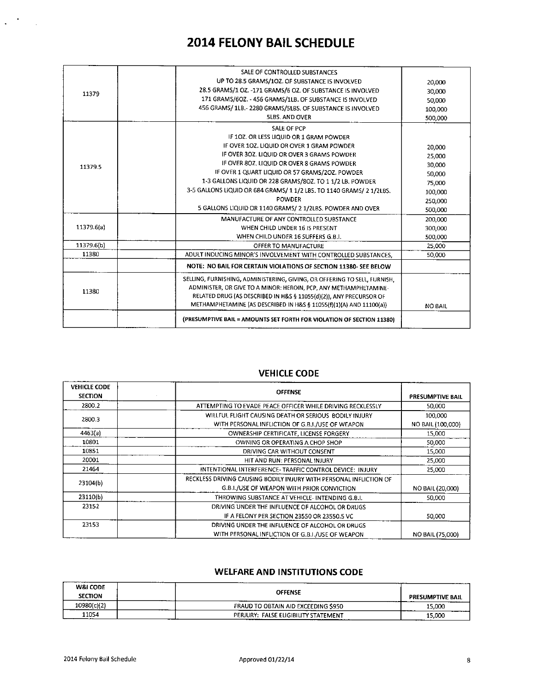|            | SALE OF CONTROLLED SUBSTANCES                                             |         |
|------------|---------------------------------------------------------------------------|---------|
| 11379      | UP TO 28.5 GRAMS/1OZ. OF SUBSTANCE IS INVOLVED                            | 20,000  |
|            | 28.5 GRAMS/1 OZ. -171 GRAMS/6 OZ. OF SUBSTANCE IS INVOLVED                | 30,000  |
|            | 171 GRAMS/6OZ. - 456 GRAMS/1LB, OF SUBSTANCE IS INVOLVED                  | 50,000  |
|            | 456 GRAMS/ 1LB .- 2280 GRAMS/5LBS. OF SUBSTANCE IS INVOLVED               | 100,000 |
|            | <b>5LBS. AND OVER</b>                                                     | 500,000 |
|            | SALE OF PCP                                                               |         |
|            | IF 10Z. OR LESS LIQUID OR 1 GRAM POWDER                                   |         |
|            | IF OVER 10Z. LIQUID OR OVER 1 GRAM POWDER                                 | 20,000  |
|            | IF OVER 302. LIQUID OR OVER 3 GRAMS POWDER                                | 25.000  |
| 11379.5    | IF OVER 80Z, LIQUID OR OVER 8 GRAMS POWDER                                | 30,000  |
|            | IF OVER 1 QUART LIQUID OR 57 GRAMS/2OZ. POWDER                            | 50,000  |
|            | 1-3 GALLONS LIQUID OR 228 GRAMS/80Z. TO 1 1/2 LB. POWDER                  | 75.000  |
|            | 3-5 GALLONS LIQUID OR 684 GRAMS/ 1 1/2 LBS. TO 1140 GRAMS/ 2 1/2LBS.      | 100.000 |
|            | <b>POWDER</b>                                                             | 250.000 |
|            | 5 GALLONS LIQUID OR 1140 GRAMS/ 2 1/2LBS. POWDER AND OVER                 | 500,000 |
|            | MANUFACTURE OF ANY CONTROLLED SUBSTANCE.                                  | 200,000 |
| 11379.6(a) | WHEN CHILD UNDER 16 IS PRESENT                                            | 300,000 |
|            | WHEN CHILD UNDER 16 SUFFERS G.B.I.                                        | 500,000 |
| 11379.6(b) | OFFER TO MANUFACTURE                                                      | 25,000  |
| 11380      | ADULT INDUCING MINOR'S INVOLVEMENT WITH CONTROLLED SUBSTANCES,            | 50.000  |
|            | NOTE: NO BAIL FOR CERTAIN VIOLATIONS OF SECTION 11380- SEE BELOW          |         |
|            | SELLING, FURNISHING, ADMINISTERING, GIVING, OR OFFERING TO SELL, FURNISH, |         |
| 11380      | ADMINISTER, OR GIVE TO A MINOR: HEROIN, PCP, ANY METHAMPHETAMINE-         |         |
|            | RELATED DRUG (AS DESCRIBED IN H&S § 11055(d)(2)), ANY PRECURSOR OF        |         |
|            | METHAMPHETAMINE (AS DESCRIBED IN H&S § 11055(f)(1)(A) AND 11100(a))       | NO BAIL |
|            | (PRESUMPTIVE BAIL = AMOUNTS SET FORTH FOR VIOLATION OF SECTION 11380)     |         |

#### **VEHICLE CODE**

| <b>VEHICLE CODE</b><br><b>SECTION</b> | <b>OFFENSE</b>                                                     | <b>PRESUMPTIVE BAIL</b> |
|---------------------------------------|--------------------------------------------------------------------|-------------------------|
| 2800.2                                | ATTEMPTING TO EVADE PEACE OFFICER WHILE DRIVING RECKLESSLY         | 50,000                  |
| 2800.3                                | WILLFUL FLIGHT CAUSING DEATH OR SERIOUS BODILY INJURY              | 100,000                 |
|                                       | WITH PERSONAL INFLICTION OF G.B.I./USE OF WEAPON                   | NO BAIL (100,000)       |
| 4463(a)                               | OWNERSHIP CERTIFICATE, LICENSE FORGERY                             | 15,000                  |
| 10801                                 | OWNING OR OPERATING A CHOP SHOP                                    | 50,000                  |
| 10851                                 | DRIVING CAR WITHOUT CONSENT                                        | 15,000                  |
| 20001                                 | HIT AND RUN: PERSONAL INJURY                                       | 25,000                  |
| 21464                                 | INTENTIONAL INTERFERENCE-TRAFFIC CONTROL DEVICE: INJURY            | 25,000                  |
| 23104(b)                              | RECKLESS DRIVING CAUSING BODILY INJURY WITH PERSONAL INFLICTION OF |                         |
|                                       | G.B.I./USE OF WEAPON WITH PRIOR CONVICTION                         | NO BAIL (20,000)        |
| 23110(b)                              | THROWING SUBSTANCE AT VEHICLE-INTENDING G.B.I.                     | 50.000                  |
| 23152                                 | DRIVING UNDER THE INFLUENCE OF ALCOHOL OR DRUGS                    |                         |
|                                       | IF A FELONY PER SECTION 23550 OR 23550.5 VC                        | 50,000                  |
| 23153                                 | DRIVING UNDER THE INFLUENCE OF ALCOHOL OR DRUGS                    |                         |
|                                       | WITH PERSONAL INFLICTION OF G.B.I./USE OF WEAPON                   | NO BAIL (75,000)        |

#### **WELFARE AND INSTITUTIONS CODE**

| <b>W&amp;I CODE</b><br><b>SECTION</b> | <b>OFFENSE</b>                       | ________<br><b>PRESUMPTIVE BAIL</b> |
|---------------------------------------|--------------------------------------|-------------------------------------|
| 10980(c)(2)                           | FRAUD TO OBTAIN AID EXCEEDING \$950  | 15,000                              |
| 11054                                 | PERJURY: FALSE ELIGIBILITY STATEMENT | 15.000                              |

 $\mathcal{L}^{(1)}$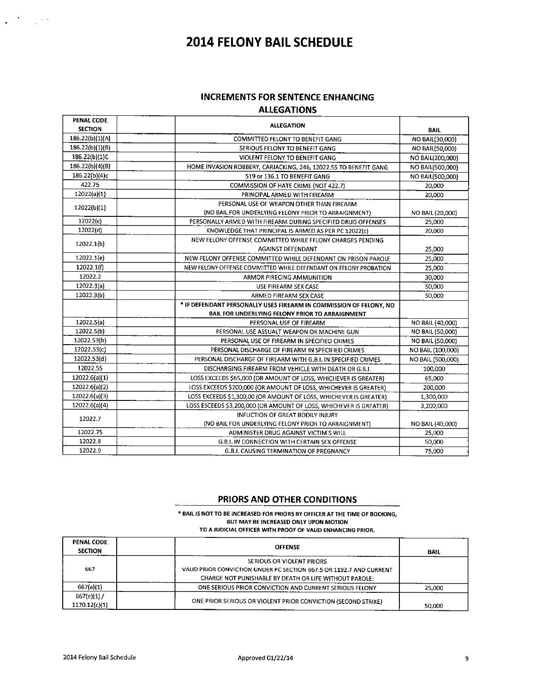#### **INCREMENTS FOR SENTENCE ENHANCING ALLEGATIONS**

| <b>PENAL CODE</b><br><b>SECTION</b> | <b>ALLEGATION</b>                                                                                 | <b>BAIL</b>       |
|-------------------------------------|---------------------------------------------------------------------------------------------------|-------------------|
| 186.22(b)(1)(A)                     | COMMITTED FELONY TO BENEFIT GANG                                                                  | NO BAIL(30,000)   |
| 186.22(b)(1)(B)                     | SERIOUS FELONY TO BENEFIT GANG                                                                    | NO BAIL(50,000)   |
| 186.22(b)(1)C                       | VIOLENT FELONY TO BENEFIT GANG                                                                    | NO BAIL(200,000)  |
| 186.22(b)(4)(B)                     | HOME INVASION ROBBERY, CARJACKING, 246, 12022.55 TO BENEFIT GANG                                  | NO BAIL(500,000)  |
| 186.22(b)(4)c                       | 519 or 136.1 TO BENEFIT GANG                                                                      | NO BAIL(500,000)  |
| 422.75                              | COMMISSION OF HATE CRIME (NOT 422.7)                                                              | 20,000            |
| 12022(a)(1)                         | PRINCIPAL ARMED WITH FIREARM                                                                      | 20.000            |
| 12022(b)(1)                         | PERSONAL USE OF WEAPON OTHER THAN FIREARM<br>(NO BAIL FOR UNDERLYING FELONY PRIOR TO ARRAIGNMENT) | NO BAIL (20,000)  |
| 12022(c)                            | PERSONALLY ARMED WITH FIREARM DURING SPECIFIED DRUG OFFENSES                                      | 25,000            |
| 12022(d)                            | KNOWLEDGE THAT PRINCIPAL IS ARMED AS PER PC 12022(c)                                              | 20,000            |
|                                     | NEW FELONY OFFENSE COMMITTED WHILE FELONY CHARGES PENDING                                         |                   |
| 12022.1(b)                          | AGAINST DEFENDANT                                                                                 | 25,000            |
| 12022.1(e)                          | NEW FELONY OFFENSE COMMITTED WHILE DEFENDANT ON PRISON PAROLE                                     | 25.000            |
| 12022.1(f)                          | NEW FELONY OFFENSE COMMITTED WHILE DEFENDANT ON FELONY PROBATION                                  | 25,000            |
| 12022.2                             | ARMOR PIRECING AMMUNITION                                                                         | 30,000            |
| 12022.3(a)                          | USE FIREARM SEX CASE                                                                              | 50,000            |
| 12022.3(b)                          | ARMED FIREARM SEX CASE                                                                            | 50,000            |
|                                     | * IF DEFENDANT PERSONALLY USES FIREARM IN COMMISSION OF FELONY, NO                                |                   |
|                                     | BAIL FOR UNDERLYING FELONY PRIOR TO ARRAIGNMENT                                                   |                   |
| 12022.5(a)                          | PERSONAL USE OF FIREARM                                                                           | NO BAIL (40,000)  |
| 12022.5(b)                          | PERSONAL USE ASSUALT WEAPON OR MACHINE GUN                                                        | NO BAIL (50,000)  |
| 12022.53(b)                         | PERSONAL USE OF FIREARM IN SPECIFIED CRIMES                                                       | NO BAIL (50,000)  |
| 12022.53(c)                         | PERSONAL DISCHARGE OF FIREARM IN SPECIFIED CRIMES                                                 | NO BAIL (100,000) |
| 12022.53(d)                         | PERSONAL DISCHARGE OF FIREARM WITH G.B.I. IN SPECIFIED CRIMES                                     | NO BAIL (500,000) |
| 12022.55                            | DISCHARGING FIREARM FROM VEHICLE WITH DEATH OR G.B.I.                                             | 100,000           |
| 12022.6(a)(1)                       | LOSS EXCEEDS \$65,000 (OR AMOUNT OF LOSS, WHICHEVER IS GREATER)                                   | 65,000            |
| 12022.6(a)(2)                       | LOSS EXCEEDS \$200,000 (OR AMOUNT OF LOSS, WHICHEVER IS GREATER)                                  | 200,000           |
| 12022.6(a)(3)                       | LOSS EXCEEDS \$1,300,00 (OR AMOUNT OF LOSS, WHICHEVER IS GREATER)                                 | 1,300,000         |
| 12022.6(a)(4)                       | LOSS ESCEEDS \$3,200,000 (OR AMOUNT OF LOSS, WHICHEVER IS GREATER)                                | 3,200,000         |
| 12022.7                             | <b>INFLICTION OF GREAT BODILY INJURY</b>                                                          |                   |
|                                     | (NO BAIL FOR UNDERLYING FELONY PRIOR TO ARRAIGNMENT)                                              | NO BAIL (40,000)  |
| 12022.75                            | ADMINISTER DRUG AGAINST VICTIM'S WILL                                                             | 25,000            |
| 12022.8                             | G.B.I. IN CONNECTION WITH CERTAIN SEX OFFENSE                                                     | 50,000            |
| 12022.9                             | G.B.I. CAUSING TERMINATION OF PREGNANCY                                                           | 75,000            |

#### PRIORS AND OTHER CONDITIONS

#### \* BAIL IS NOT TO BE INCREASED FOR PRIORS BY OFFICER AT THE TIME OF BOOKING, BUT MAY BE INCREASED ONLY UPON MOTION TO A JUDICIAL OFFICER WITH PROOF OF VALID ENHANCING PRIOR.

| <b>PENAL CODE</b><br><b>SECTION</b> | <b>OFFENSE</b>                                                                                                                                             | <b>BAIL</b> |
|-------------------------------------|------------------------------------------------------------------------------------------------------------------------------------------------------------|-------------|
| 667                                 | SERIOUS OR VIOLENT PRIORS<br>VALID PRIOR CONVICTION UNDER PC SECTION 667.5 OR 1192.7 AND CURRENT<br>CHARGE NOT PUNISHABLE BY DEATH OR LIFE WITHOUT PAROLE: |             |
| 667(a)(1)                           | ONE SERIOUS PRIOR CONVICTION AND CURRENT SERIOUS FELONY                                                                                                    | 25,000      |
| 667(e)(1)<br>1170.12(c)(1)          | ONE PRIOR SERIOUS OR VIOLENT PRIOR CONVICTION (SECOND STRIKE)                                                                                              | 50,000      |

 $\frac{1}{2}$  ,  $\frac{1}{2}$  ,  $\frac{1}{2}$  ,  $\frac{1}{2}$  ,  $\frac{1}{2}$